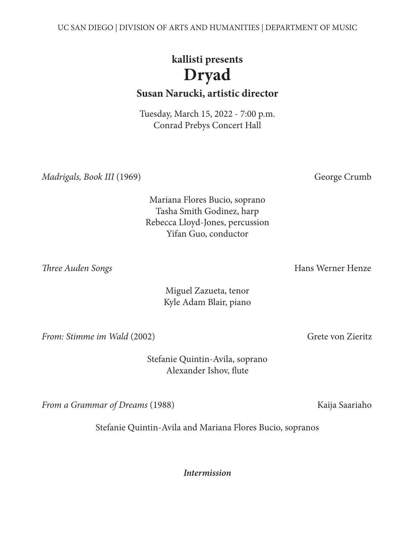UC SAN DIEGO | DIVISION OF ARTS AND HUMANITIES | DEPARTMENT OF MUSIC

# **kallisti presents Dryad**

**Susan Narucki, artistic director**

Tuesday, March 15, 2022 - 7:00 p.m. Conrad Prebys Concert Hall

*Madrigals, Book III* (1969) George Crumb

Mariana Flores Bucio, soprano Tasha Smith Godinez, harp Rebecca Lloyd-Jones, percussion Yifan Guo, conductor

**Three Auden Songs Hans Werner Henze Hans Werner Henze** 

Miguel Zazueta, tenor Kyle Adam Blair, piano

*From: Stimme im Wald* (2002) Grete von Zieritz

Stefanie Quintin-Avila, soprano Alexander Ishov, flute

*From a Grammar of Dreams* (1988) Kaija Saariaho

Stefanie Quintin-Avila and Mariana Flores Bucio, sopranos

*Intermission*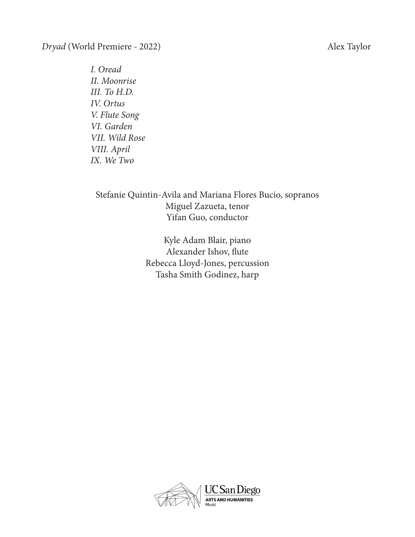*Dryad* (World Premiere - 2022) Alex Taylor

 *I. Oread II. Moonrise III. To H.D. IV. Ortus V. Flute Song VI. Garden VII. Wild Rose VIII. April IX. We Two*

## Stefanie Quintin-Avila and Mariana Flores Bucio, sopranos Miguel Zazueta, tenor Yifan Guo, conductor

Kyle Adam Blair, piano Alexander Ishov, flute Rebecca Lloyd-Jones, percussion Tasha Smith Godinez, harp

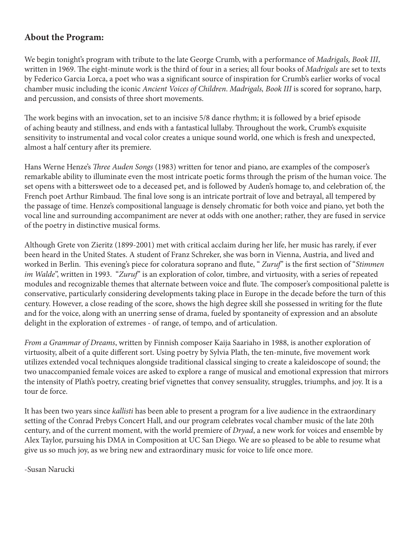#### **About the Program:**

We begin tonight's program with tribute to the late George Crumb, with a performance of *Madrigals, Book III*, written in 1969. The eight-minute work is the third of four in a series; all four books of *Madrigals* are set to texts by Federico Garcia Lorca, a poet who was a significant source of inspiration for Crumb's earlier works of vocal chamber music including the iconic *Ancient Voices of Children*. *Madrigals, Book III* is scored for soprano, harp, and percussion, and consists of three short movements.

The work begins with an invocation, set to an incisive 5/8 dance rhythm; it is followed by a brief episode of aching beauty and stillness, and ends with a fantastical lullaby. Throughout the work, Crumb's exquisite sensitivity to instrumental and vocal color creates a unique sound world, one which is fresh and unexpected, almost a half century after its premiere.

Hans Werne Henze's *Three Auden Songs* (1983) written for tenor and piano, are examples of the composer's remarkable ability to illuminate even the most intricate poetic forms through the prism of the human voice. The set opens with a bittersweet ode to a deceased pet, and is followed by Auden's homage to, and celebration of, the French poet Arthur Rimbaud. The final love song is an intricate portrait of love and betrayal, all tempered by the passage of time. Henze's compositional language is densely chromatic for both voice and piano, yet both the vocal line and surrounding accompaniment are never at odds with one another; rather, they are fused in service of the poetry in distinctive musical forms.

Although Grete von Zieritz (1899-2001) met with critical acclaim during her life, her music has rarely, if ever been heard in the United States. A student of Franz Schreker, she was born in Vienna, Austria, and lived and worked in Berlin. This evening's piece for coloratura soprano and flute, " *Zuruf*" is the first section of "*Stimmen im Walde*", written in 1993. "*Zuruf*" is an exploration of color, timbre, and virtuosity, with a series of repeated modules and recognizable themes that alternate between voice and flute. The composer's compositional palette is conservative, particularly considering developments taking place in Europe in the decade before the turn of this century. However, a close reading of the score, shows the high degree skill she possessed in writing for the flute and for the voice, along with an unerring sense of drama, fueled by spontaneity of expression and an absolute delight in the exploration of extremes - of range, of tempo, and of articulation.

*From a Grammar of Dreams*, written by Finnish composer Kaija Saariaho in 1988, is another exploration of virtuosity, albeit of a quite different sort. Using poetry by Sylvia Plath, the ten-minute, five movement work utilizes extended vocal techniques alongside traditional classical singing to create a kaleidoscope of sound; the two unaccompanied female voices are asked to explore a range of musical and emotional expression that mirrors the intensity of Plath's poetry, creating brief vignettes that convey sensuality, struggles, triumphs, and joy. It is a tour de force.

It has been two years since *kallisti* has been able to present a program for a live audience in the extraordinary setting of the Conrad Prebys Concert Hall, and our program celebrates vocal chamber music of the late 20th century, and of the current moment, with the world premiere of *Dryad*, a new work for voices and ensemble by Alex Taylor, pursuing his DMA in Composition at UC San Diego. We are so pleased to be able to resume what give us so much joy, as we bring new and extraordinary music for voice to life once more.

-Susan Narucki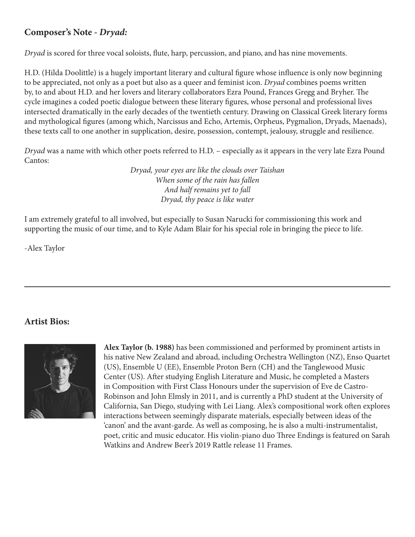### **Composer's Note** *- Dryad:*

*Dryad* is scored for three vocal soloists, flute, harp, percussion, and piano, and has nine movements.

H.D. (Hilda Doolittle) is a hugely important literary and cultural figure whose influence is only now beginning to be appreciated, not only as a poet but also as a queer and feminist icon. *Dryad* combines poems written by, to and about H.D. and her lovers and literary collaborators Ezra Pound, Frances Gregg and Bryher. The cycle imagines a coded poetic dialogue between these literary figures, whose personal and professional lives intersected dramatically in the early decades of the twentieth century. Drawing on Classical Greek literary forms and mythological figures (among which, Narcissus and Echo, Artemis, Orpheus, Pygmalion, Dryads, Maenads), these texts call to one another in supplication, desire, possession, contempt, jealousy, struggle and resilience.

*Dryad* was a name with which other poets referred to H.D. – especially as it appears in the very late Ezra Pound Cantos:

> *Dryad, your eyes are like the clouds over Taishan When some of the rain has fallen And half remains yet to fall Dryad, thy peace is like water*

I am extremely grateful to all involved, but especially to Susan Narucki for commissioning this work and supporting the music of our time, and to Kyle Adam Blair for his special role in bringing the piece to life.

-Alex Taylor

#### **Artist Bios:**



**Alex Taylor (b. 1988)** has been commissioned and performed by prominent artists in his native New Zealand and abroad, including Orchestra Wellington (NZ), Enso Quartet (US), Ensemble U (EE), Ensemble Proton Bern (CH) and the Tanglewood Music Center (US). After studying English Literature and Music, he completed a Masters in Composition with First Class Honours under the supervision of Eve de Castro-Robinson and John Elmsly in 2011, and is currently a PhD student at the University of California, San Diego, studying with Lei Liang. Alex's compositional work often explores interactions between seemingly disparate materials, especially between ideas of the 'canon' and the avant-garde. As well as composing, he is also a multi-instrumentalist, poet, critic and music educator. His violin-piano duo Three Endings is featured on Sarah Watkins and Andrew Beer's 2019 Rattle release 11 Frames.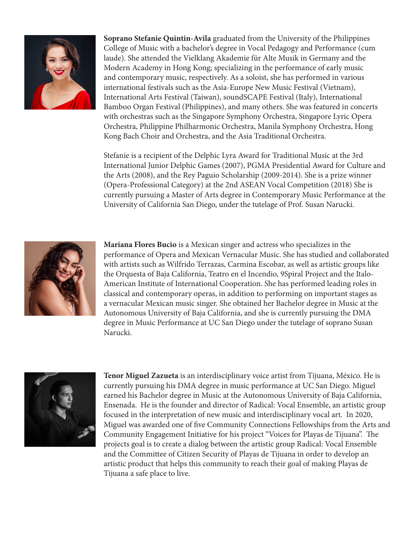

**Soprano Stefanie Quintin-Avila** graduated from the University of the Philippines College of Music with a bachelor's degree in Vocal Pedagogy and Performance (cum laude). She attended the Vielklang Akademie für Alte Musik in Germany and the Modern Academy in Hong Kong; specializing in the performance of early music and contemporary music, respectively. As a soloist, she has performed in various international festivals such as the Asia-Europe New Music Festival (Vietnam), International Arts Festival (Taiwan), soundSCAPE Festival (Italy), International Bamboo Organ Festival (Philippines), and many others. She was featured in concerts with orchestras such as the Singapore Symphony Orchestra, Singapore Lyric Opera Orchestra, Philippine Philharmonic Orchestra, Manila Symphony Orchestra, Hong Kong Bach Choir and Orchestra, and the Asia Traditional Orchestra.

Stefanie is a recipient of the Delphic Lyra Award for Traditional Music at the 3rd International Junior Delphic Games (2007), PGMA Presidential Award for Culture and the Arts (2008), and the Rey Paguio Scholarship (2009-2014). She is a prize winner (Opera-Professional Category) at the 2nd ASEAN Vocal Competition (2018) She is currently pursuing a Master of Arts degree in Contemporary Music Performance at the University of California San Diego, under the tutelage of Prof. Susan Narucki.



**Mariana Flores Bucio** is a Mexican singer and actress who specializes in the performance of Opera and Mexican Vernacular Music. She has studied and collaborated with artists such as Wilfrido Terrazas, Carmina Escobar, as well as artistic groups like the Orquesta of Baja California, Teatro en el Incendio, 9Spiral Project and the Italo-American Institute of International Cooperation. She has performed leading roles in classical and contemporary operas, in addition to performing on important stages as a vernacular Mexican music singer. She obtained her Bachelor degree in Music at the Autonomous University of Baja California, and she is currently pursuing the DMA degree in Music Performance at UC San Diego under the tutelage of soprano Susan Narucki.



**Tenor Miguel Zazueta** is an interdisciplinary voice artist from Tijuana, México. He is currently pursuing his DMA degree in music performance at UC San Diego. Miguel earned his Bachelor degree in Music at the Autonomous University of Baja California, Ensenada. He is the founder and director of Radical: Vocal Ensemble, an artistic group focused in the interpretation of new music and interdisciplinary vocal art. In 2020, Miguel was awarded one of five Community Connections Fellowships from the Arts and Community Engagement Initiative for his project "Voices for Playas de Tijuana". The projects goal is to create a dialog between the artistic group Radical: Vocal Ensemble and the Committee of Citizen Security of Playas de Tijuana in order to develop an artistic product that helps this community to reach their goal of making Playas de Tijuana a safe place to live.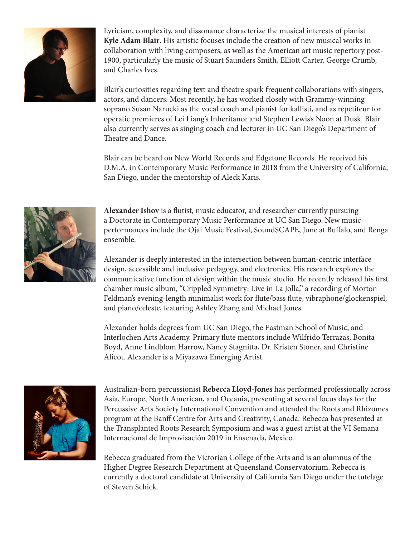

Lyricism, complexity, and dissonance characterize the musical interests of pianist **Kyle Adam Blair**. His artistic focuses include the creation of new musical works in collaboration with living composers, as well as the American art music repertory post-1900, particularly the music of Stuart Saunders Smith, Elliott Carter, George Crumb, and Charles Ives.

Blair's curiosities regarding text and theatre spark frequent collaborations with singers, actors, and dancers. Most recently, he has worked closely with Grammy-winning soprano Susan Narucki as the vocal coach and pianist for kallisti, and as repetiteur for operatic premieres of Lei Liang's Inheritance and Stephen Lewis's Noon at Dusk. Blair also currently serves as singing coach and lecturer in UC San Diego's Department of Theatre and Dance.

Blair can be heard on New World Records and Edgetone Records. He received his D.M.A. in Contemporary Music Performance in 2018 from the University of California, San Diego, under the mentorship of Aleck Karis.



**Alexander Ishov** is a flutist, music educator, and researcher currently pursuing a Doctorate in Contemporary Music Performance at UC San Diego. New music performances include the Ojai Music Festival, SoundSCAPE, June at Buffalo, and Renga ensemble.

Alexander is deeply interested in the intersection between human-centric interface design, accessible and inclusive pedagogy, and electronics. His research explores the communicative function of design within the music studio. He recently released his first chamber music album, "Crippled Symmetry: Live in La Jolla," a recording of Morton Feldman's evening-length minimalist work for flute/bass flute, vibraphone/glockenspiel, and piano/celeste, featuring Ashley Zhang and Michael Jones.

Alexander holds degrees from UC San Diego, the Eastman School of Music, and Interlochen Arts Academy. Primary flute mentors include Wilfrido Terrazas, Bonita Boyd, Anne Lindblom Harrow, Nancy Stagnitta, Dr. Kristen Stoner, and Christine Alicot. Alexander is a Miyazawa Emerging Artist.



Australian-born percussionist **Rebecca Lloyd-Jones** has performed professionally across Asia, Europe, North American, and Oceania, presenting at several focus days for the Percussive Arts Society International Convention and attended the Roots and Rhizomes program at the Banff Centre for Arts and Creativity, Canada. Rebecca has presented at the Transplanted Roots Research Symposium and was a guest artist at the VI Semana Internacional de Improvisación 2019 in Ensenada, Mexico.

Rebecca graduated from the Victorian College of the Arts and is an alumnus of the Higher Degree Research Department at Queensland Conservatorium. Rebecca is currently a doctoral candidate at University of California San Diego under the tutelage of Steven Schick.